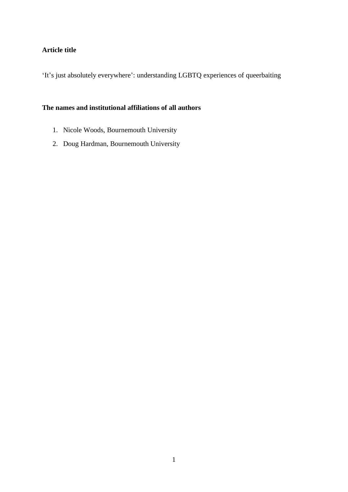## **Article title**

'It's just absolutely everywhere': understanding LGBTQ experiences of queerbaiting

## **The names and institutional affiliations of all authors**

- 1. Nicole Woods, Bournemouth University
- 2. Doug Hardman, Bournemouth University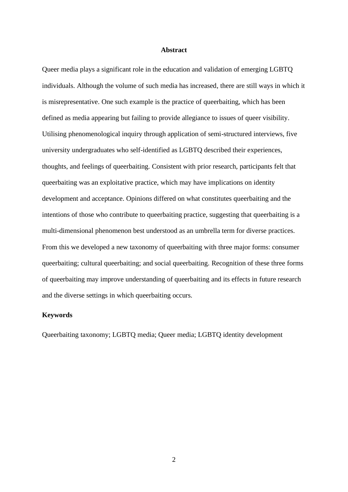#### **Abstract**

Queer media plays a significant role in the education and validation of emerging LGBTQ individuals. Although the volume of such media has increased, there are still ways in which it is misrepresentative. One such example is the practice of queerbaiting, which has been defined as media appearing but failing to provide allegiance to issues of queer visibility. Utilising phenomenological inquiry through application of semi-structured interviews, five university undergraduates who self-identified as LGBTQ described their experiences, thoughts, and feelings of queerbaiting. Consistent with prior research, participants felt that queerbaiting was an exploitative practice, which may have implications on identity development and acceptance. Opinions differed on what constitutes queerbaiting and the intentions of those who contribute to queerbaiting practice, suggesting that queerbaiting is a multi-dimensional phenomenon best understood as an umbrella term for diverse practices. From this we developed a new taxonomy of queerbaiting with three major forms: consumer queerbaiting; cultural queerbaiting; and social queerbaiting. Recognition of these three forms of queerbaiting may improve understanding of queerbaiting and its effects in future research and the diverse settings in which queerbaiting occurs.

#### **Keywords**

Queerbaiting taxonomy; LGBTQ media; Queer media; LGBTQ identity development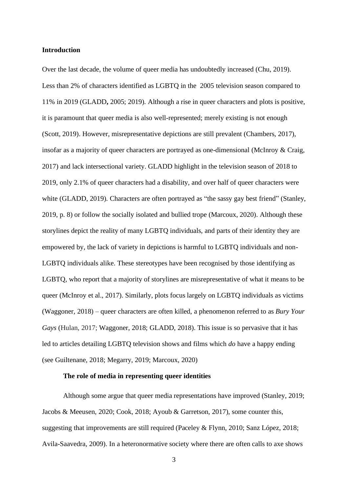## **Introduction**

Over the last decade, the volume of queer media has undoubtedly increased (Chu, 2019). Less than 2% of characters identified as LGBTQ in the 2005 television season compared to 11% in 2019 (GLADD**,** 2005; 2019). Although a rise in queer characters and plots is positive, it is paramount that queer media is also well-represented; merely existing is not enough (Scott, 2019). However, misrepresentative depictions are still prevalent (Chambers, 2017), insofar as a majority of queer characters are portrayed as one-dimensional (McInroy & Craig, 2017) and lack intersectional variety. GLADD highlight in the television season of 2018 to 2019, only 2.1% of queer characters had a disability, and over half of queer characters were white (GLADD, 2019). Characters are often portrayed as "the sassy gay best friend" (Stanley, 2019, p. 8) or follow the socially isolated and bullied trope (Marcoux, 2020). Although these storylines depict the reality of many LGBTQ individuals, and parts of their identity they are empowered by, the lack of variety in depictions is harmful to LGBTQ individuals and non-LGBTQ individuals alike. These stereotypes have been recognised by those identifying as LGBTQ, who report that a majority of storylines are misrepresentative of what it means to be queer (McInroy et al., 2017). Similarly, plots focus largely on LGBTQ individuals as victims (Waggoner, 2018) – queer characters are often killed, a phenomenon referred to as *Bury Your Gays* (Hulan, 2017; Waggoner, 2018; GLADD, 2018). This issue is so pervasive that it has led to articles detailing LGBTQ television shows and films which *do* have a happy ending (see Guiltenane, 2018; Megarry, 2019; Marcoux, 2020)

## **The role of media in representing queer identities**

Although some argue that queer media representations have improved (Stanley, 2019; Jacobs & Meeusen, 2020; Cook, 2018; Ayoub & Garretson, 2017), some counter this, suggesting that improvements are still required (Paceley & Flynn, 2010; Sanz López, 2018; Avila-Saavedra, 2009). In a heteronormative society where there are often calls to axe shows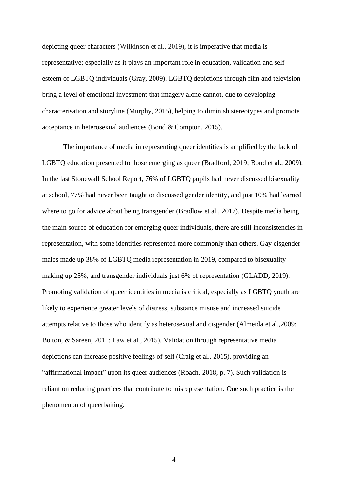depicting queer characters (Wilkinson et al., 2019), it is imperative that media is representative; especially as it plays an important role in education, validation and selfesteem of LGBTQ individuals (Gray, 2009). LGBTQ depictions through film and television bring a level of emotional investment that imagery alone cannot, due to developing characterisation and storyline (Murphy, 2015), helping to diminish stereotypes and promote acceptance in heterosexual audiences (Bond & Compton, 2015).

The importance of media in representing queer identities is amplified by the lack of LGBTQ education presented to those emerging as queer (Bradford, 2019; Bond et al., 2009). In the last Stonewall School Report, 76% of LGBTQ pupils had never discussed bisexuality at school, 77% had never been taught or discussed gender identity, and just 10% had learned where to go for advice about being transgender (Bradlow et al., 2017). Despite media being the main source of education for emerging queer individuals, there are still inconsistencies in representation, with some identities represented more commonly than others. Gay cisgender males made up 38% of LGBTQ media representation in 2019, compared to bisexuality making up 25%, and transgender individuals just 6% of representation (GLADD**,** 2019). Promoting validation of queer identities in media is critical, especially as LGBTQ youth are likely to experience greater levels of distress, substance misuse and increased suicide attempts relative to those who identify as heterosexual and cisgender (Almeida et al.,2009; Bolton, & Sareen, 2011; Law et al., 2015). Validation through representative media depictions can increase positive feelings of self (Craig et al., 2015), providing an "affirmational impact" upon its queer audiences (Roach, 2018, p. 7). Such validation is reliant on reducing practices that contribute to misrepresentation. One such practice is the phenomenon of queerbaiting.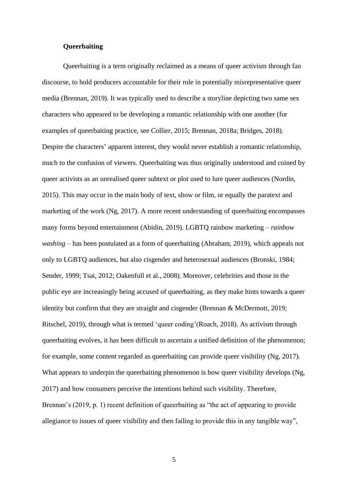## **Queerbaiting**

Queerbaiting is a term originally reclaimed as a means of queer activism through fan discourse, to hold producers accountable for their role in potentially misrepresentative queer media (Brennan, 2019). It was typically used to describe a storyline depicting two same sex characters who appeared to be developing a romantic relationship with one another (for examples of queerbaiting practice, see Collier, 2015; Brennan, 2018a; Bridges, 2018). Despite the characters' apparent interest, they would never establish a romantic relationship, much to the confusion of viewers. Queerbaiting was thus originally understood and coined by queer activists as an unrealised queer subtext or plot used to lure queer audiences (Nordin, 2015). This may occur in the main body of text, show or film, or equally the paratext and marketing of the work (Ng, 2017). A more recent understanding of queerbaiting encompasses many forms beyond entertainment (Abidin, 2019). LGBTQ rainbow marketing – *rainbow washing* – has been postulated as a form of queerbaiting (Abraham, 2019), which appeals not only to LGBTQ audiences, but also cisgender and heterosexual audiences (Bronski, 1984; Sender, 1999; Tsai, 2012; Oakenfull et al., 2008). Moreover, celebrities and those in the public eye are increasingly being accused of queerbaiting, as they make hints towards a queer identity but confirm that they are straight and cisgender (Brennan & McDermott, 2019; Ritschel, 2019), through what is termed 'queer coding'(Roach, 2018). As activism through queerbaiting evolves, it has been difficult to ascertain a unified definition of the phenomenon; for example, some content regarded as queerbaiting can provide queer visibility (Ng, 2017). What appears to underpin the queerbaiting phenomenon is how queer visibility develops (Ng, 2017) and how consumers perceive the intentions behind such visibility. Therefore, Brennan's (2019, p. 1) recent definition of queerbaiting as "the act of appearing to provide allegiance to issues of queer visibility and then failing to provide this in any tangible way",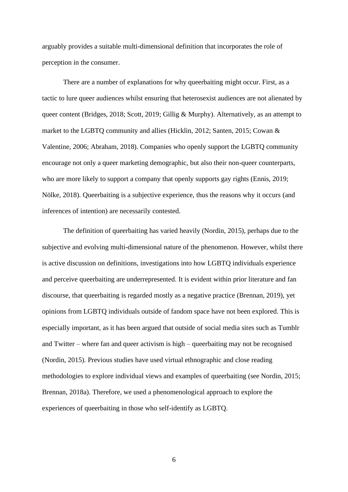arguably provides a suitable multi-dimensional definition that incorporates the role of perception in the consumer.

There are a number of explanations for why queerbaiting might occur. First, as a tactic to lure queer audiences whilst ensuring that heterosexist audiences are not alienated by queer content (Bridges, 2018; Scott, 2019; Gillig & Murphy). Alternatively, as an attempt to market to the LGBTQ community and allies (Hicklin, 2012; Santen, 2015; Cowan & Valentine, 2006; Abraham, 2018). Companies who openly support the LGBTQ community encourage not only a queer marketing demographic, but also their non-queer counterparts, who are more likely to support a company that openly supports gay rights (Ennis, 2019; Nölke, 2018). Queerbaiting is a subjective experience, thus the reasons why it occurs (and inferences of intention) are necessarily contested.

The definition of queerbaiting has varied heavily (Nordin, 2015), perhaps due to the subjective and evolving multi-dimensional nature of the phenomenon. However, whilst there is active discussion on definitions, investigations into how LGBTQ individuals experience and perceive queerbaiting are underrepresented. It is evident within prior literature and fan discourse, that queerbaiting is regarded mostly as a negative practice (Brennan, 2019), yet opinions from LGBTQ individuals outside of fandom space have not been explored. This is especially important, as it has been argued that outside of social media sites such as Tumblr and Twitter – where fan and queer activism is high – queerbaiting may not be recognised (Nordin, 2015). Previous studies have used virtual ethnographic and close reading methodologies to explore individual views and examples of queerbaiting (see Nordin, 2015; Brennan, 2018a). Therefore, we used a phenomenological approach to explore the experiences of queerbaiting in those who self-identify as LGBTQ.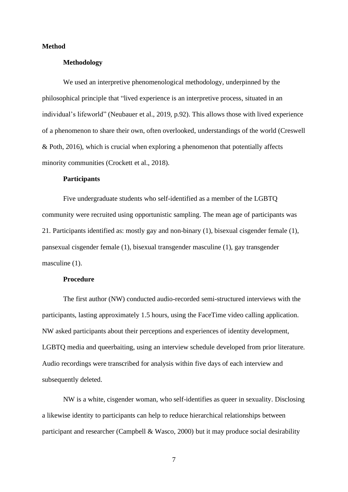#### **Method**

## **Methodology**

We used an interpretive phenomenological methodology, underpinned by the philosophical principle that "lived experience is an interpretive process, situated in an individual's lifeworld" (Neubauer et al., 2019, p.92). This allows those with lived experience of a phenomenon to share their own, often overlooked, understandings of the world (Creswell & Poth, 2016), which is crucial when exploring a phenomenon that potentially affects minority communities (Crockett et al., 2018).

## **Participants**

Five undergraduate students who self-identified as a member of the LGBTQ community were recruited using opportunistic sampling. The mean age of participants was 21. Participants identified as: mostly gay and non-binary (1), bisexual cisgender female (1), pansexual cisgender female (1), bisexual transgender masculine (1), gay transgender masculine  $(1)$ .

## **Procedure**

The first author (NW) conducted audio-recorded semi-structured interviews with the participants, lasting approximately 1.5 hours, using the FaceTime video calling application. NW asked participants about their perceptions and experiences of identity development, LGBTQ media and queerbaiting, using an interview schedule developed from prior literature. Audio recordings were transcribed for analysis within five days of each interview and subsequently deleted.

NW is a white, cisgender woman, who self-identifies as queer in sexuality. Disclosing a likewise identity to participants can help to reduce hierarchical relationships between participant and researcher (Campbell & Wasco, 2000) but it may produce social desirability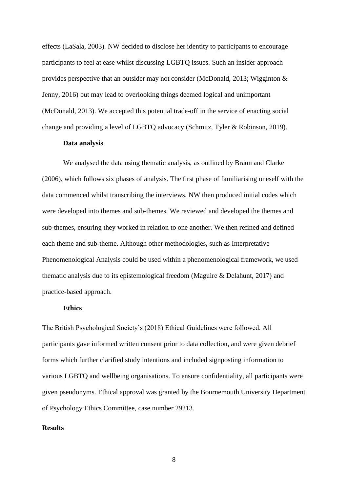effects (LaSala, 2003). NW decided to disclose her identity to participants to encourage participants to feel at ease whilst discussing LGBTQ issues. Such an insider approach provides perspective that an outsider may not consider (McDonald, 2013; Wigginton & Jenny, 2016) but may lead to overlooking things deemed logical and unimportant (McDonald, 2013). We accepted this potential trade-off in the service of enacting social change and providing a level of LGBTQ advocacy (Schmitz, Tyler & Robinson, 2019).

## **Data analysis**

We analysed the data using thematic analysis, as outlined by Braun and Clarke (2006), which follows six phases of analysis. The first phase of familiarising oneself with the data commenced whilst transcribing the interviews. NW then produced initial codes which were developed into themes and sub-themes. We reviewed and developed the themes and sub-themes, ensuring they worked in relation to one another. We then refined and defined each theme and sub-theme. Although other methodologies, such as Interpretative Phenomenological Analysis could be used within a phenomenological framework, we used thematic analysis due to its epistemological freedom (Maguire & Delahunt, 2017) and practice-based approach.

#### **Ethics**

The British Psychological Society's (2018) Ethical Guidelines were followed. All participants gave informed written consent prior to data collection, and were given debrief forms which further clarified study intentions and included signposting information to various LGBTQ and wellbeing organisations. To ensure confidentiality, all participants were given pseudonyms. Ethical approval was granted by the Bournemouth University Department of Psychology Ethics Committee, case number 29213.

## **Results**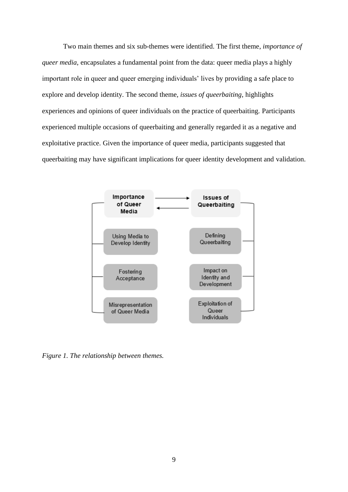Two main themes and six sub-themes were identified. The first theme, *importance of queer media*, encapsulates a fundamental point from the data: queer media plays a highly important role in queer and queer emerging individuals' lives by providing a safe place to explore and develop identity. The second theme, *issues of queerbaiting*, highlights experiences and opinions of queer individuals on the practice of queerbaiting. Participants experienced multiple occasions of queerbaiting and generally regarded it as a negative and exploitative practice. Given the importance of queer media, participants suggested that queerbaiting may have significant implications for queer identity development and validation.



*Figure 1. The relationship between themes.*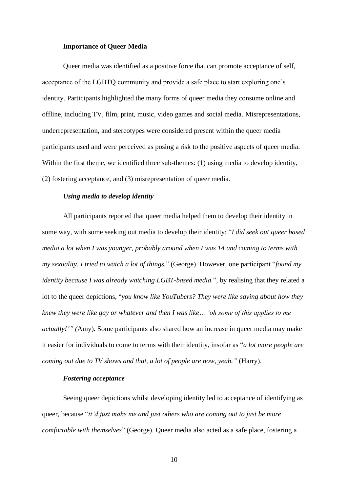#### **Importance of Queer Media**

Queer media was identified as a positive force that can promote acceptance of self, acceptance of the LGBTQ community and provide a safe place to start exploring one's identity. Participants highlighted the many forms of queer media they consume online and offline, including TV, film, print, music, video games and social media. Misrepresentations, underrepresentation, and stereotypes were considered present within the queer media participants used and were perceived as posing a risk to the positive aspects of queer media. Within the first theme, we identified three sub-themes: (1) using media to develop identity, (2) fostering acceptance, and (3) misrepresentation of queer media.

## *Using media to develop identity*

All participants reported that queer media helped them to develop their identity in some way, with some seeking out media to develop their identity: "*I did seek out queer based media a lot when I was younger, probably around when I was 14 and coming to terms with my sexuality, I tried to watch a lot of things.*" (George). However, one participant "*found my identity because I was already watching LGBT-based media.*", by realising that they related a lot to the queer depictions, "*you know like YouTubers? They were like saying about how they knew they were like gay or whatever and then I was like… 'oh some of this applies to me actually!'" (*Amy). Some participants also shared how an increase in queer media may make it easier for individuals to come to terms with their identity, insofar as "*a lot more people are coming out due to TV shows and that, a lot of people are now, yeah."* (Harry).

#### *Fostering acceptance*

Seeing queer depictions whilst developing identity led to acceptance of identifying as queer, because "*it'd just make me and just others who are coming out to just be more comfortable with themselves*" (George). Queer media also acted as a safe place, fostering a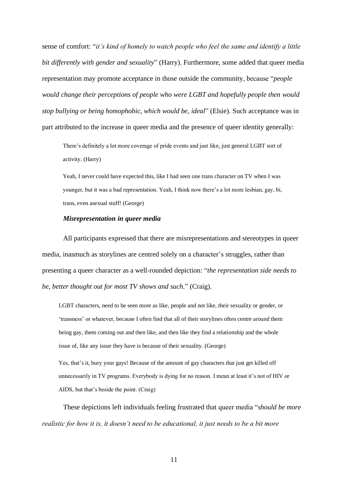sense of comfort: "*it's kind of homely to watch people who feel the same and identify a little bit differently with gender and sexuality*" (Harry). Furthermore, some added that queer media representation may promote acceptance in those outside the community, because "*people would change their perceptions of people who were LGBT and hopefully people then would stop bullying or being homophobic, which would be, ideal*" (Elsie). Such acceptance was in part attributed to the increase in queer media and the presence of queer identity generally:

There's definitely a lot more coverage of pride events and just like, just general LGBT sort of activity. (Harry)

Yeah, I never could have expected this, like I had seen one trans character on TV when I was younger, but it was a bad representation. Yeah, I think now there's a lot more lesbian, gay, bi, trans, even asexual stuff! (George)

#### *Misrepresentation in queer media*

All participants expressed that there are misrepresentations and stereotypes in queer media, inasmuch as storylines are centred solely on a character's struggles, rather than presenting a queer character as a well-rounded depiction: "*the representation side needs to be, better thought out for most TV shows and such.*" (Craig).

LGBT characters, need to be seen more as like, people and not like, their sexuality or gender, or 'transness' or whatever, because I often find that all of their storylines often centre around them being gay, them coming out and then like, and then like they find a relationship and the whole issue of, like any issue they have is because of their sexuality. (George)

Yes, that's it, bury your gays! Because of the amount of gay characters that just get killed off unnecessarily in TV programs. Everybody is dying for no reason. I mean at least it's not of HIV or AIDS, but that's beside the point. (Craig)

These depictions left individuals feeling frustrated that queer media "*should be more realistic for how it is, it doesn't need to be educational, it just needs to be a bit more*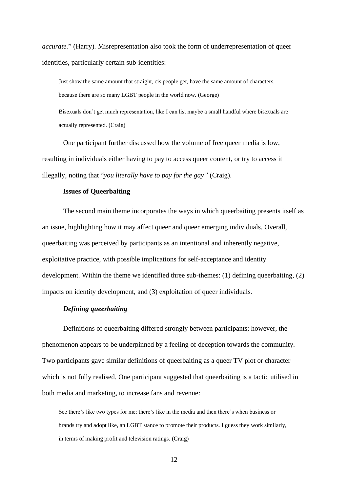*accurate.*" (Harry). Misrepresentation also took the form of underrepresentation of queer identities, particularly certain sub-identities:

Just show the same amount that straight, cis people get, have the same amount of characters, because there are so many LGBT people in the world now. (George)

Bisexuals don't get much representation, like I can list maybe a small handful where bisexuals are actually represented. (Craig)

One participant further discussed how the volume of free queer media is low, resulting in individuals either having to pay to access queer content, or try to access it illegally, noting that "*you literally have to pay for the gay"* (Craig).

## **Issues of Queerbaiting**

The second main theme incorporates the ways in which queerbaiting presents itself as an issue, highlighting how it may affect queer and queer emerging individuals. Overall, queerbaiting was perceived by participants as an intentional and inherently negative, exploitative practice, with possible implications for self-acceptance and identity development. Within the theme we identified three sub-themes: (1) defining queerbaiting, (2) impacts on identity development, and (3) exploitation of queer individuals.

## *Defining queerbaiting*

Definitions of queerbaiting differed strongly between participants; however, the phenomenon appears to be underpinned by a feeling of deception towards the community. Two participants gave similar definitions of queerbaiting as a queer TV plot or character which is not fully realised. One participant suggested that queerbaiting is a tactic utilised in both media and marketing, to increase fans and revenue:

See there's like two types for me: there's like in the media and then there's when business or brands try and adopt like, an LGBT stance to promote their products. I guess they work similarly, in terms of making profit and television ratings. (Craig)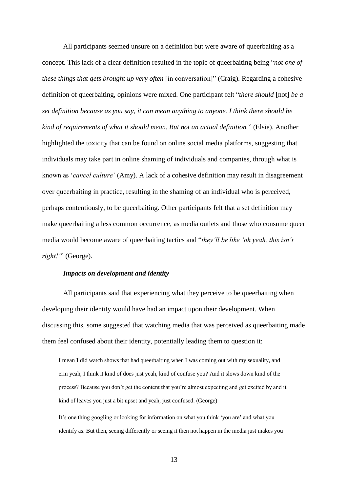All participants seemed unsure on a definition but were aware of queerbaiting as a concept. This lack of a clear definition resulted in the topic of queerbaiting being "*not one of these things that gets brought up very often* [in conversation]" (Craig). Regarding a cohesive definition of queerbaiting, opinions were mixed. One participant felt "*there should* [not] *be a set definition because as you say, it can mean anything to anyone. I think there should be kind of requirements of what it should mean. But not an actual definition.*" (Elsie). Another highlighted the toxicity that can be found on online social media platforms, suggesting that individuals may take part in online shaming of individuals and companies, through what is known as '*cancel culture'* (Amy). A lack of a cohesive definition may result in disagreement over queerbaiting in practice, resulting in the shaming of an individual who is perceived, perhaps contentiously, to be queerbaiting**.** Other participants felt that a set definition may make queerbaiting a less common occurrence, as media outlets and those who consume queer media would become aware of queerbaiting tactics and "*they'll be like 'oh yeah, this isn't right!'*" (George).

#### *Impacts on development and identity*

All participants said that experiencing what they perceive to be queerbaiting when developing their identity would have had an impact upon their development. When discussing this, some suggested that watching media that was perceived as queerbaiting made them feel confused about their identity, potentially leading them to question it:

I mean **I** did watch shows that had queerbaiting when I was coming out with my sexuality, and erm yeah, I think it kind of does just yeah, kind of confuse you? And it slows down kind of the process? Because you don't get the content that you're almost expecting and get excited by and it kind of leaves you just a bit upset and yeah, just confused. (George)

It's one thing googling or looking for information on what you think 'you are' and what you identify as. But then, seeing differently or seeing it then not happen in the media just makes you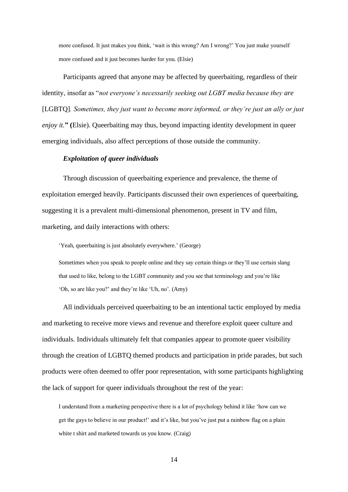more confused. It just makes you think, 'wait is this wrong? Am I wrong?' You just make yourself more confused and it just becomes harder for you. (Elsie)

Participants agreed that anyone may be affected by queerbaiting, regardless of their identity, insofar as "*not everyone's necessarily seeking out LGBT media because they are* [LGBTQ]*. Sometimes, they just want to become more informed, or they're just an ally or just enjoy it.*" (Elsie). Queerbaiting may thus, beyond impacting identity development in queer emerging individuals, also affect perceptions of those outside the community.

## *Exploitation of queer individuals*

Through discussion of queerbaiting experience and prevalence, the theme of exploitation emerged heavily. Participants discussed their own experiences of queerbaiting, suggesting it is a prevalent multi-dimensional phenomenon, present in TV and film, marketing, and daily interactions with others:

'Yeah, queerbaiting is just absolutely everywhere.' (George)

Sometimes when you speak to people online and they say certain things or they'll use certain slang that used to like, belong to the LGBT community and you see that terminology and you're like 'Oh, so are like you?' and they're like 'Uh, no'. (Amy)

All individuals perceived queerbaiting to be an intentional tactic employed by media and marketing to receive more views and revenue and therefore exploit queer culture and individuals. Individuals ultimately felt that companies appear to promote queer visibility through the creation of LGBTQ themed products and participation in pride parades, but such products were often deemed to offer poor representation, with some participants highlighting the lack of support for queer individuals throughout the rest of the year:

I understand from a marketing perspective there is a lot of psychology behind it like 'how can we get the gays to believe in our product!' and it's like, but you've just put a rainbow flag on a plain white t shirt and marketed towards us you know. (Craig)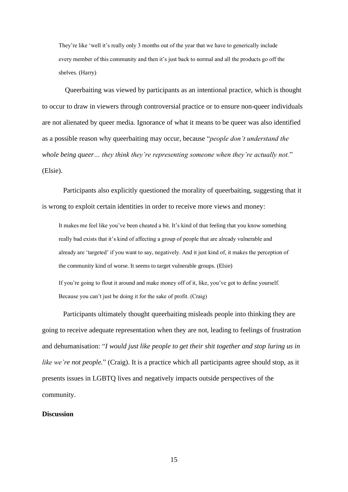They're like 'well it's really only 3 months out of the year that we have to generically include every member of this community and then it's just back to normal and all the products go off the shelves. (Harry)

Queerbaiting was viewed by participants as an intentional practice, which is thought to occur to draw in viewers through controversial practice or to ensure non-queer individuals are not alienated by queer media. Ignorance of what it means to be queer was also identified as a possible reason why queerbaiting may occur, because "*people don't understand the whole being queer… they think they're representing someone when they're actually not.*" (Elsie).

Participants also explicitly questioned the morality of queerbaiting, suggesting that it is wrong to exploit certain identities in order to receive more views and money:

It makes me feel like you've been cheated a bit. It's kind of that feeling that you know something really bad exists that it's kind of affecting a group of people that are already vulnerable and already are 'targeted' if you want to say, negatively. And it just kind of, it makes the perception of the community kind of worse. It seems to target vulnerable groups. (Elsie)

If you're going to flout it around and make money off of it, like, you've got to define yourself. Because you can't just be doing it for the sake of profit. (Craig)

Participants ultimately thought queerbaiting misleads people into thinking they are going to receive adequate representation when they are not, leading to feelings of frustration and dehumanisation: "*I would just like people to get their shit together and stop luring us in like we're not people.*" (Craig). It is a practice which all participants agree should stop, as it presents issues in LGBTQ lives and negatively impacts outside perspectives of the community.

## **Discussion**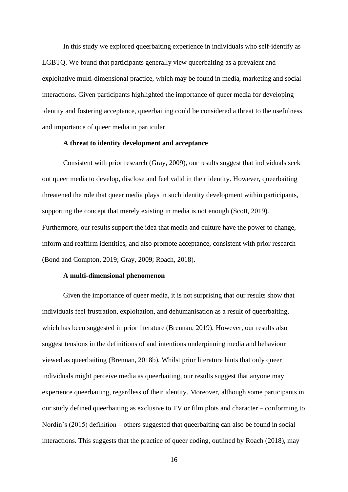In this study we explored queerbaiting experience in individuals who self-identify as LGBTQ. We found that participants generally view queerbaiting as a prevalent and exploitative multi-dimensional practice, which may be found in media, marketing and social interactions. Given participants highlighted the importance of queer media for developing identity and fostering acceptance, queerbaiting could be considered a threat to the usefulness and importance of queer media in particular.

## **A threat to identity development and acceptance**

Consistent with prior research (Gray, 2009), our results suggest that individuals seek out queer media to develop, disclose and feel valid in their identity. However, queerbaiting threatened the role that queer media plays in such identity development within participants, supporting the concept that merely existing in media is not enough (Scott, 2019). Furthermore, our results support the idea that media and culture have the power to change, inform and reaffirm identities, and also promote acceptance, consistent with prior research (Bond and Compton, 2019; Gray, 2009; Roach, 2018).

#### **A multi-dimensional phenomenon**

Given the importance of queer media, it is not surprising that our results show that individuals feel frustration, exploitation, and dehumanisation as a result of queerbaiting, which has been suggested in prior literature (Brennan, 2019). However, our results also suggest tensions in the definitions of and intentions underpinning media and behaviour viewed as queerbaiting (Brennan, 2018b). Whilst prior literature hints that only queer individuals might perceive media as queerbaiting, our results suggest that anyone may experience queerbaiting, regardless of their identity. Moreover, although some participants in our study defined queerbaiting as exclusive to TV or film plots and character – conforming to Nordin's (2015) definition – others suggested that queerbaiting can also be found in social interactions. This suggests that the practice of queer coding, outlined by Roach (2018), may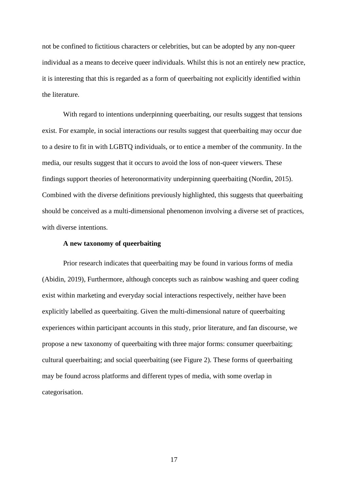not be confined to fictitious characters or celebrities, but can be adopted by any non-queer individual as a means to deceive queer individuals. Whilst this is not an entirely new practice, it is interesting that this is regarded as a form of queerbaiting not explicitly identified within the literature.

With regard to intentions underpinning queerbaiting, our results suggest that tensions exist. For example, in social interactions our results suggest that queerbaiting may occur due to a desire to fit in with LGBTQ individuals, or to entice a member of the community. In the media, our results suggest that it occurs to avoid the loss of non-queer viewers. These findings support theories of heteronormativity underpinning queerbaiting (Nordin, 2015). Combined with the diverse definitions previously highlighted, this suggests that queerbaiting should be conceived as a multi-dimensional phenomenon involving a diverse set of practices, with diverse intentions.

#### **A new taxonomy of queerbaiting**

Prior research indicates that queerbaiting may be found in various forms of media (Abidin, 2019), Furthermore, although concepts such as rainbow washing and queer coding exist within marketing and everyday social interactions respectively, neither have been explicitly labelled as queerbaiting. Given the multi-dimensional nature of queerbaiting experiences within participant accounts in this study, prior literature, and fan discourse, we propose a new taxonomy of queerbaiting with three major forms: consumer queerbaiting; cultural queerbaiting; and social queerbaiting (see Figure 2). These forms of queerbaiting may be found across platforms and different types of media, with some overlap in categorisation.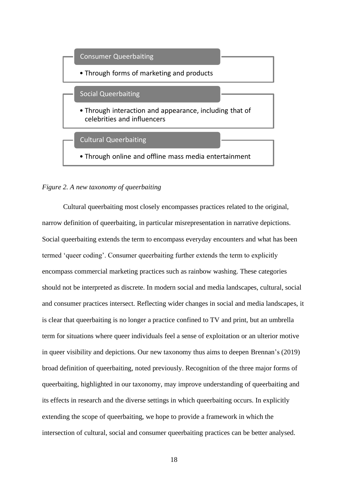

## *Figure 2. A new taxonomy of queerbaiting*

Cultural queerbaiting most closely encompasses practices related to the original, narrow definition of queerbaiting, in particular misrepresentation in narrative depictions. Social queerbaiting extends the term to encompass everyday encounters and what has been termed 'queer coding'. Consumer queerbaiting further extends the term to explicitly encompass commercial marketing practices such as rainbow washing. These categories should not be interpreted as discrete. In modern social and media landscapes, cultural, social and consumer practices intersect. Reflecting wider changes in social and media landscapes, it is clear that queerbaiting is no longer a practice confined to TV and print, but an umbrella term for situations where queer individuals feel a sense of exploitation or an ulterior motive in queer visibility and depictions. Our new taxonomy thus aims to deepen Brennan's (2019) broad definition of queerbaiting, noted previously. Recognition of the three major forms of queerbaiting, highlighted in our taxonomy, may improve understanding of queerbaiting and its effects in research and the diverse settings in which queerbaiting occurs. In explicitly extending the scope of queerbaiting, we hope to provide a framework in which the intersection of cultural, social and consumer queerbaiting practices can be better analysed.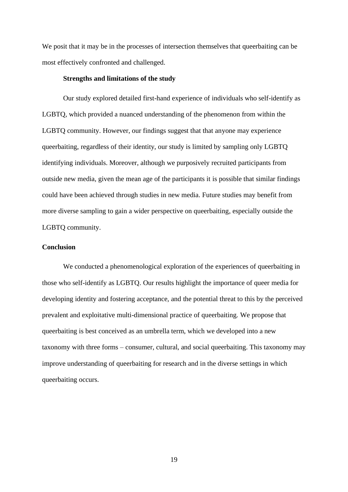We posit that it may be in the processes of intersection themselves that queerbaiting can be most effectively confronted and challenged.

#### **Strengths and limitations of the study**

Our study explored detailed first-hand experience of individuals who self-identify as LGBTQ, which provided a nuanced understanding of the phenomenon from within the LGBTQ community. However, our findings suggest that that anyone may experience queerbaiting, regardless of their identity, our study is limited by sampling only LGBTQ identifying individuals. Moreover, although we purposively recruited participants from outside new media, given the mean age of the participants it is possible that similar findings could have been achieved through studies in new media. Future studies may benefit from more diverse sampling to gain a wider perspective on queerbaiting, especially outside the LGBTQ community.

## **Conclusion**

We conducted a phenomenological exploration of the experiences of queerbaiting in those who self-identify as LGBTQ. Our results highlight the importance of queer media for developing identity and fostering acceptance, and the potential threat to this by the perceived prevalent and exploitative multi-dimensional practice of queerbaiting. We propose that queerbaiting is best conceived as an umbrella term, which we developed into a new taxonomy with three forms – consumer, cultural, and social queerbaiting. This taxonomy may improve understanding of queerbaiting for research and in the diverse settings in which queerbaiting occurs.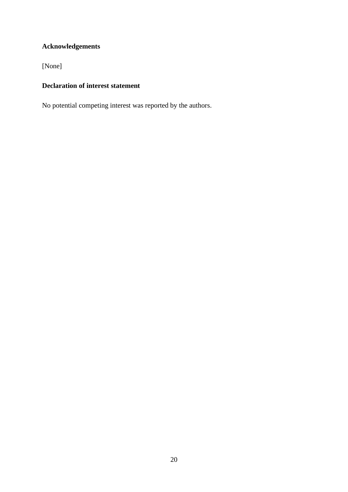# **Acknowledgements**

[None]

# **Declaration of interest statement**

No potential competing interest was reported by the authors.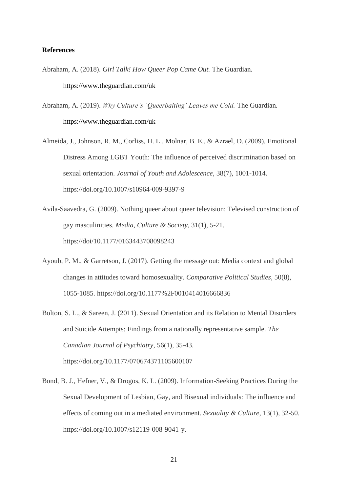## **References**

- Abraham, A. (2018). *Girl Talk! How Queer Pop Came Out.* The Guardian. https://www.theguardian.com/uk
- Abraham, A. (2019). *Why Culture's 'Queerbaiting' Leaves me Cold.* The Guardian. https://www.theguardian.com/uk
- Almeida, J., Johnson, R. M., Corliss, H. L., Molnar, B. E., & Azrael, D. (2009). Emotional Distress Among LGBT Youth: The influence of perceived discrimination based on sexual orientation. *Journal of Youth and Adolescence*, 38(7), 1001-1014. https://doi.org/10.1007/s10964-009-9397-9
- Avila-Saavedra, G. (2009). Nothing queer about queer television: Televised construction of gay masculinities. *Media, Culture & Society*, 31(1), 5-21. https://doi/10.1177/0163443708098243
- Ayoub, P. M., & Garretson, J. (2017). Getting the message out: Media context and global changes in attitudes toward homosexuality. *Comparative Political Studies*, 50(8), 1055-1085. https://doi.org/10.1177%2F0010414016666836
- Bolton, S. L., & Sareen, J. (2011). Sexual Orientation and its Relation to Mental Disorders and Suicide Attempts: Findings from a nationally representative sample. *The Canadian Journal of Psychiatry*, 56(1), 35-43. https://doi.org/10.1177/070674371105600107
- Bond, B. J., Hefner, V., & Drogos, K. L. (2009). Information-Seeking Practices During the Sexual Development of Lesbian, Gay, and Bisexual individuals: The influence and effects of coming out in a mediated environment. *Sexuality & Culture*, 13(1), 32-50. https://doi.org/10.1007/s12119-008-9041-y.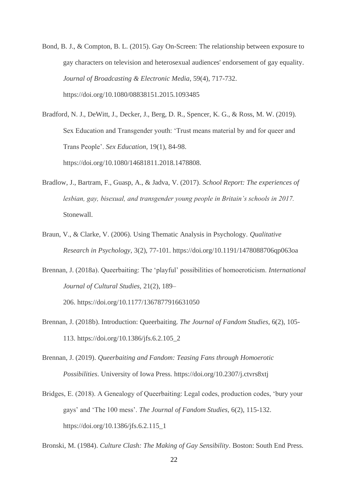Bond, B. J., & Compton, B. L. (2015). Gay On-Screen: The relationship between exposure to gay characters on television and heterosexual audiences' endorsement of gay equality. *Journal of Broadcasting & Electronic Media*, 59(4), 717-732. https://doi.org/10.1080/08838151.2015.1093485

Bradford, N. J., DeWitt, J., Decker, J., Berg, D. R., Spencer, K. G., & Ross, M. W. (2019). Sex Education and Transgender youth: 'Trust means material by and for queer and Trans People'. *Sex Education*, 19(1), 84-98. https://doi.org/10.1080/14681811.2018.1478808.

- Bradlow, J., Bartram, F., Guasp, A., & Jadva, V. (2017). *School Report: The experiences of lesbian, gay, bisexual, and transgender young people in Britain's schools in 2017.* Stonewall.
- Braun, V., & Clarke, V. (2006). Using Thematic Analysis in Psychology. *Qualitative Research in Psychology*, 3(2), 77-101. https://doi.org/10.1191/1478088706qp063oa
- Brennan, J. (2018a). Queerbaiting: The 'playful' possibilities of homoeroticism. *International Journal of Cultural Studies,* 21(2), 189– 206. https://doi.org/10.1177/1367877916631050
- Brennan, J. (2018b). Introduction: Queerbaiting. *The Journal of Fandom Studies*, 6(2), 105- 113. https://doi.org/10.1386/jfs.6.2.105\_2
- Brennan, J. (2019). *Queerbaiting and Fandom: Teasing Fans through Homoerotic Possibilities*. University of Iowa Press. https://doi.org/10.2307/j.ctvrs8xtj
- Bridges, E. (2018). A Genealogy of Queerbaiting: Legal codes, production codes, 'bury your gays' and 'The 100 mess'. *The Journal of Fandom Studies*, 6(2), 115-132. https://doi.org/10.1386/jfs.6.2.115\_1

Bronski, M. (1984). *Culture Clash: The Making of Gay Sensibility*. Boston: South End Press.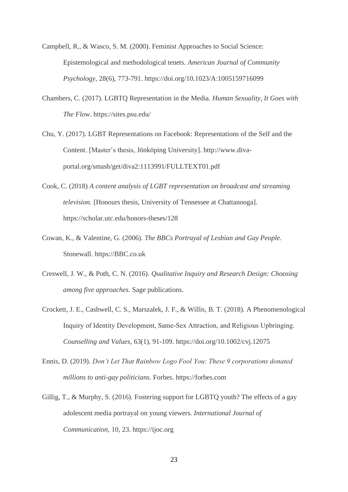- Campbell, R., & Wasco, S. M. (2000). Feminist Approaches to Social Science: Epistemological and methodological tenets. *American Journal of Community Psychology*, 28(6), 773-791. https://doi.org/10.1023/A:1005159716099
- Chambers, C. (2017). LGBTQ Representation in the Media. *Human Sexuality, It Goes with The Flow*. https://sites.psu.edu/
- Chu, Y. (2017). LGBT Representations on Facebook: Representations of the Self and the Content. [Master's thesis, Jönköping University]. [http://www.diva](http://www.diva-portal.org/smash/get/diva2:1113991/FULLTEXT01.pdf)[portal.org/smash/get/diva2:1113991/FULLTEXT01.pdf](http://www.diva-portal.org/smash/get/diva2:1113991/FULLTEXT01.pdf)
- Cook, C. (2018) *A content analysis of LGBT representation on broadcast and streaming television.* [Honours thesis, University of Tennessee at Chattanooga]. https://scholar.utc.edu/honors-theses/128
- Cowan, K., & Valentine, G. (2006). *The BBCs Portrayal of Lesbian and Gay People.* Stonewall. https://BBC.co.uk
- Creswell, J. W., & Poth, C. N. (2016). *Qualitative Inquiry and Research Design: Choosing among five approaches*. Sage publications.
- Crockett, J. E., Cashwell, C. S., Marszalek, J. F., & Willis, B. T. (2018). A Phenomenological Inquiry of Identity Development, Same‐Sex Attraction, and Religious Upbringing. *Counselling and Values*, 63(1), 91-109. https://doi.org/10.1002/cvj.12075
- Ennis, D. (2019). *Don't Let That Rainbow Logo Fool You: These 9 corporations donated millions to anti-gay politicians.* Forbes. https://forbes.com
- Gillig, T., & Murphy, S. (2016). Fostering support for LGBTQ youth? The effects of a gay adolescent media portrayal on young viewers*. International Journal of Communication*, 10, 23. https://ijoc.org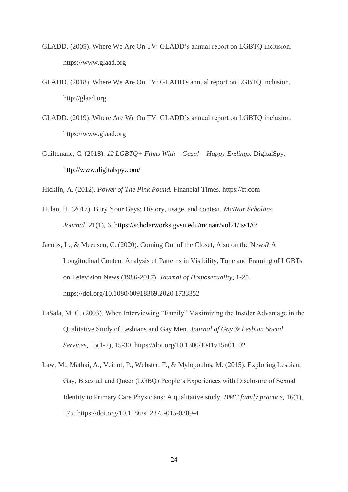- GLADD. (2005). Where We Are On TV: GLADD's annual report on LGBTQ inclusion. https://www.glaad.org
- GLADD. (2018). Where We Are On TV: GLADD's annual report on LGBTQ inclusion. http://glaad.org
- GLADD. (2019). Where Are We On TV: GLADD's annual report on LGBTQ inclusion. https://www.glaad.org
- Guiltenane, C. (2018). *12 LGBTQ+ Films With – Gasp! – Happy Endings.* DigitalSpy. http://www.digitalspy.com/

Hicklin, A. (2012). *Power of The Pink Pound.* Financial Times. https://ft.com

- Hulan, H. (2017). Bury Your Gays: History, usage, and context. *McNair Scholars Journal*, 21(1), 6. https://scholarworks.gvsu.edu/mcnair/vol21/iss1/6/
- Jacobs, L., & Meeusen, C. (2020). Coming Out of the Closet, Also on the News? A Longitudinal Content Analysis of Patterns in Visibility, Tone and Framing of LGBTs on Television News (1986-2017). *Journal of Homosexuality*, 1-25. https://doi.org/10.1080/00918369.2020.1733352
- LaSala, M. C. (2003). When Interviewing "Family" Maximizing the Insider Advantage in the Qualitative Study of Lesbians and Gay Men. *Journal of Gay & Lesbian Social Services*, 15(1-2), 15-30. https://doi.org/10.1300/J041v15n01\_02
- Law, M., Mathai, A., Veinot, P., Webster, F., & Mylopoulos, M. (2015). Exploring Lesbian, Gay, Bisexual and Queer (LGBQ) People's Experiences with Disclosure of Sexual Identity to Primary Care Physicians: A qualitative study. *BMC family practice*, 16(1), 175. https://doi.org/10.1186/s12875-015-0389-4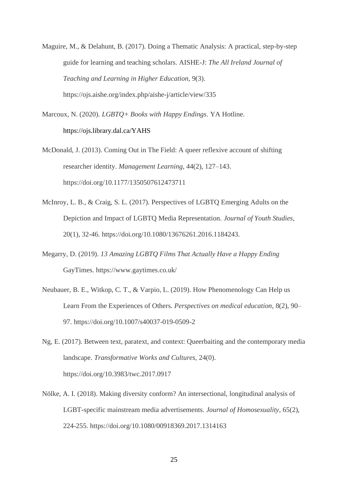- Maguire, M., & Delahunt, B. (2017). Doing a Thematic Analysis: A practical, step-by-step guide for learning and teaching scholars. AISHE-J: *The All Ireland Journal of Teaching and Learning in Higher Education*, 9(3). https://ojs.aishe.org/index.php/aishe-j/article/view/335
- Marcoux, N. (2020). *LGBTQ+ Books with Happy Endings*. YA Hotline. https://ojs.library.dal.ca/YAHS
- McDonald, J. (2013). Coming Out in The Field: A queer reflexive account of shifting researcher identity. *Management Learning*, 44(2), 127–143. https://doi.org/10.1177/1350507612473711
- McInroy, L. B., & Craig, S. L. (2017). Perspectives of LGBTQ Emerging Adults on the Depiction and Impact of LGBTQ Media Representation. *Journal of Youth Studies*, 20(1), 32-46. https://doi.org/10.1080/13676261.2016.1184243.
- Megarry, D. (2019). *13 Amazing LGBTQ Films That Actually Have a Happy Ending* GayTimes. https://www.gaytimes.co.uk/
- Neubauer, B. E., Witkop, C. T., & Varpio, L. (2019). How Phenomenology Can Help us Learn From the Experiences of Others. *Perspectives on medical education*, 8(2), 90– 97. https://doi.org/10.1007/s40037-019-0509-2
- Ng, E. (2017). Between text, paratext, and context: Queerbaiting and the contemporary media landscape. *Transformative Works and Cultures,* 24(0). https://doi.org/10.3983/twc.2017.0917
- Nölke, A. I. (2018). Making diversity conform? An intersectional, longitudinal analysis of LGBT-specific mainstream media advertisements. *Journal of Homosexuality*, 65(2), 224-255. https://doi.org/10.1080/00918369.2017.1314163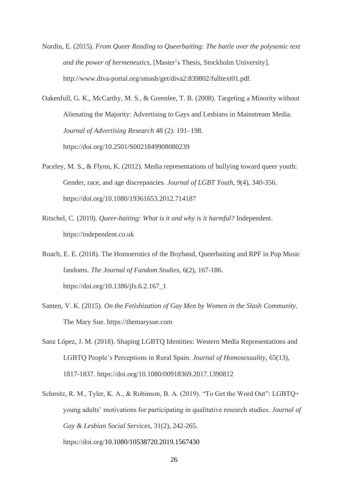- Nordin, E. (2015). *From Queer Reading to Queerbaiting: The battle over the polysemic text and the power of hermeneutics,* [Master's Thesis, Stockholm University]. http://www.diva-portal.org/smash/get/diva2:839802/fulltext01.pdf.
- Oakenfull, G. K., McCarthy, M. S., & Greenlee, T. B. (2008). Targeting a Minority without Alienating the Majority: Advertising to Gays and Lesbians in Mainstream Media. *Journal of Advertising Research* 48 (2): 191–198. https://doi.org/10.2501/S0021849908080239
- Paceley, M. S., & Flynn, K. (2012). Media representations of bullying toward queer youth: Gender, race, and age discrepancies. *Journal of LGBT Youth*, 9(4), 340-356. https://doi.org/10.1080/19361653.2012.714187
- Ritschel, C. (2019). *Queer-baiting: What is it and why is it harmful?* Independent. https://independent.co.uk

Roach, E. E. (2018). The Homoerotics of the Boyband, Queerbaiting and RPF in Pop Music fandoms. *The Journal of Fandom Studies*, 6(2), 167-186. https://doi.org/10.1386/jfs.6.2.167\_1

- Santen, V. K. (2015). *On the Fetishization of Gay Men by Women in the Slash Community.* The Mary Sue. https://themarysue.com
- Sanz López, J. M. (2018). Shaping LGBTQ Identities: Western Media Representations and LGBTQ People's Perceptions in Rural Spain. *Journal of Homosexuality*, 65(13), 1817-1837. https://doi.org/10.1080/00918369.2017.1390812
- Schmitz, R. M., Tyler, K. A., & Robinson, B. A. (2019). "To Get the Word Out": LGBTQ+ young adults' motivations for participating in qualitative research studies. *Journal of Gay & Lesbian Social Services*, 31(2), 242-265. https://doi.org[/10.1080/10538720.2019.1567430](https://doi.org/10.1080/10538720.2019.1567430)